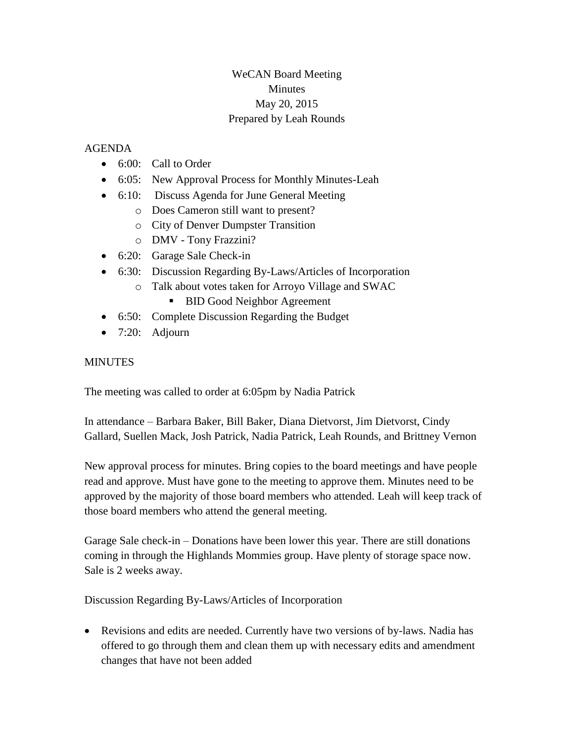## WeCAN Board Meeting Minutes May 20, 2015 Prepared by Leah Rounds

## AGENDA

- 6:00: Call to Order
- 6:05: New Approval Process for Monthly Minutes-Leah
- 6:10: Discuss Agenda for June General Meeting
	- o Does Cameron still want to present?
	- o City of Denver Dumpster Transition
	- o DMV Tony Frazzini?
- 6:20: Garage Sale Check-in
- 6:30: Discussion Regarding By-Laws/Articles of Incorporation
	- o Talk about votes taken for Arroyo Village and SWAC
		- **BID Good Neighbor Agreement**
- 6:50: Complete Discussion Regarding the Budget
- $\bullet$  7:20: Adjourn

## **MINUTES**

The meeting was called to order at 6:05pm by Nadia Patrick

In attendance – Barbara Baker, Bill Baker, Diana Dietvorst, Jim Dietvorst, Cindy Gallard, Suellen Mack, Josh Patrick, Nadia Patrick, Leah Rounds, and Brittney Vernon

New approval process for minutes. Bring copies to the board meetings and have people read and approve. Must have gone to the meeting to approve them. Minutes need to be approved by the majority of those board members who attended. Leah will keep track of those board members who attend the general meeting.

Garage Sale check-in – Donations have been lower this year. There are still donations coming in through the Highlands Mommies group. Have plenty of storage space now. Sale is 2 weeks away.

Discussion Regarding By-Laws/Articles of Incorporation

 Revisions and edits are needed. Currently have two versions of by-laws. Nadia has offered to go through them and clean them up with necessary edits and amendment changes that have not been added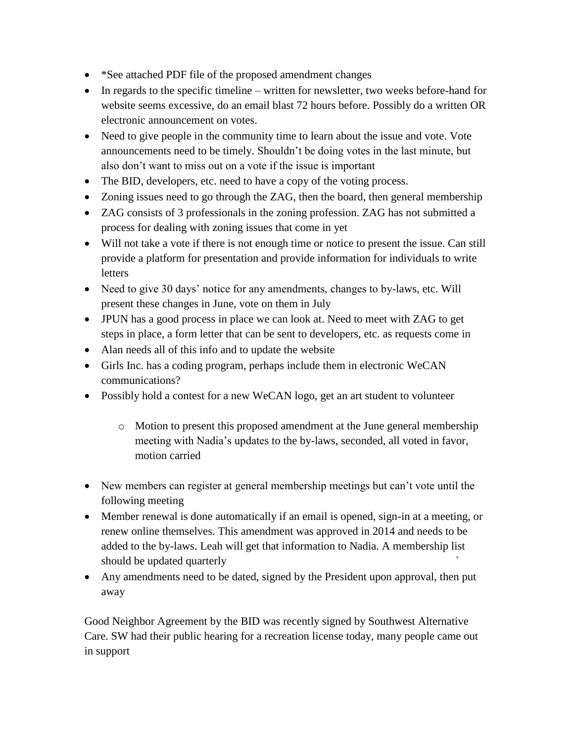- \*See attached PDF file of the proposed amendment changes
- In regards to the specific timeline written for newsletter, two weeks before-hand for website seems excessive, do an email blast 72 hours before. Possibly do a written OR electronic announcement on votes.
- Need to give people in the community time to learn about the issue and vote. Vote announcements need to be timely. Shouldn't be doing votes in the last minute, but also don't want to miss out on a vote if the issue is important
- The BID, developers, etc. need to have a copy of the voting process.
- Zoning issues need to go through the ZAG, then the board, then general membership
- ZAG consists of 3 professionals in the zoning profession. ZAG has not submitted a process for dealing with zoning issues that come in yet
- Will not take a vote if there is not enough time or notice to present the issue. Can still provide a platform for presentation and provide information for individuals to write letters
- Need to give 30 days' notice for any amendments, changes to by-laws, etc. Will present these changes in June, vote on them in July
- JPUN has a good process in place we can look at. Need to meet with ZAG to get steps in place, a form letter that can be sent to developers, etc. as requests come in
- Alan needs all of this info and to update the website
- Girls Inc. has a coding program, perhaps include them in electronic WeCAN communications?
- Possibly hold a contest for a new WeCAN logo, get an art student to volunteer
	- o Motion to present this proposed amendment at the June general membership meeting with Nadia's updates to the by-laws, seconded, all voted in favor, motion carried
- New members can register at general membership meetings but can't vote until the following meeting
- Member renewal is done automatically if an email is opened, sign-in at a meeting, or renew online themselves. This amendment was approved in 2014 and needs to be added to the by-laws. Leah will get that information to Nadia. A membership list should be updated quarterly `
- Any amendments need to be dated, signed by the President upon approval, then put away

Good Neighbor Agreement by the BID was recently signed by Southwest Alternative Care. SW had their public hearing for a recreation license today, many people came out in support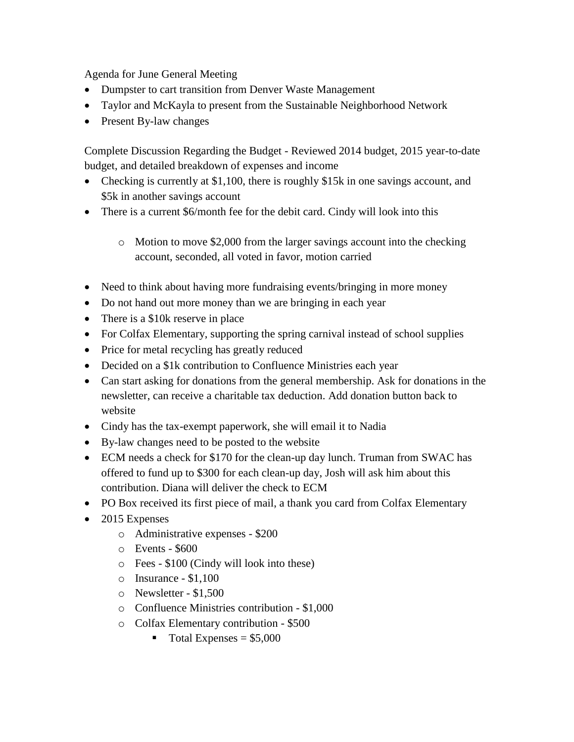Agenda for June General Meeting

- Dumpster to cart transition from Denver Waste Management
- Taylor and McKayla to present from the Sustainable Neighborhood Network
- Present By-law changes

Complete Discussion Regarding the Budget - Reviewed 2014 budget, 2015 year-to-date budget, and detailed breakdown of expenses and income

- Checking is currently at \$1,100, there is roughly \$15k in one savings account, and \$5k in another savings account
- There is a current \$6/month fee for the debit card. Cindy will look into this
	- o Motion to move \$2,000 from the larger savings account into the checking account, seconded, all voted in favor, motion carried
- Need to think about having more fundraising events/bringing in more money
- Do not hand out more money than we are bringing in each year
- There is a \$10k reserve in place
- For Colfax Elementary, supporting the spring carnival instead of school supplies
- Price for metal recycling has greatly reduced
- Decided on a \$1k contribution to Confluence Ministries each year
- Can start asking for donations from the general membership. Ask for donations in the newsletter, can receive a charitable tax deduction. Add donation button back to website
- Cindy has the tax-exempt paperwork, she will email it to Nadia
- By-law changes need to be posted to the website
- ECM needs a check for \$170 for the clean-up day lunch. Truman from SWAC has offered to fund up to \$300 for each clean-up day, Josh will ask him about this contribution. Diana will deliver the check to ECM
- PO Box received its first piece of mail, a thank you card from Colfax Elementary
- 2015 Expenses
	- o Administrative expenses \$200
	- o Events \$600
	- o Fees \$100 (Cindy will look into these)
	- o Insurance \$1,100
	- o Newsletter \$1,500
	- o Confluence Ministries contribution \$1,000
	- o Colfax Elementary contribution \$500
		- $\blacksquare$  Total Expenses = \$5,000